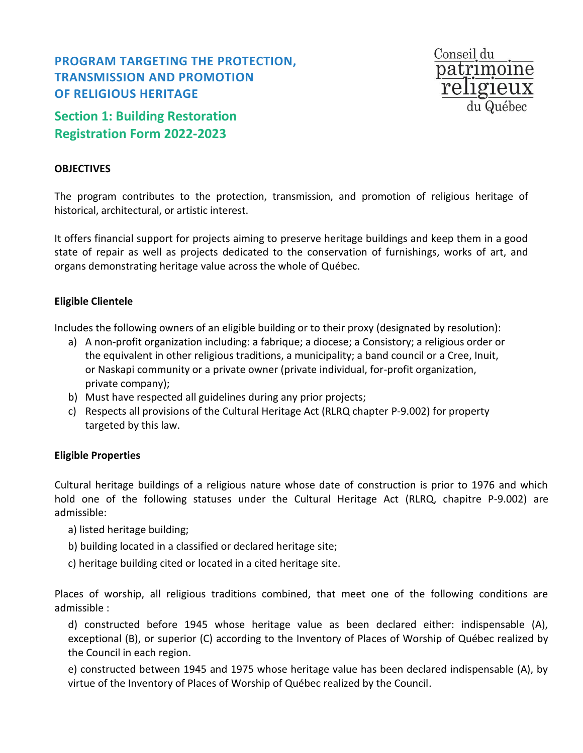# **PROGRAM TARGETING THE PROTECTION, TRANSMISSION AND PROMOTION OF RELIGIOUS HERITAGE**

**Section 1: Building Restoration Registration Form 2022-2023**

#### **OBJECTIVES**

The program contributes to the protection, transmission, and promotion of religious heritage of historical, architectural, or artistic interest.

Conseil du

patrimoine

It offers financial support for projects aiming to preserve heritage buildings and keep them in a good state of repair as well as projects dedicated to the conservation of furnishings, works of art, and organs demonstrating heritage value across the whole of Québec.

### **Eligible Clientele**

Includes the following owners of an eligible building or to their proxy (designated by resolution):

- a) A non-profit organization including: a fabrique; a diocese; a Consistory; a religious order or the equivalent in other religious traditions, a municipality; a band council or a Cree, Inuit, or Naskapi community or a private owner (private individual, for-profit organization, private company);
- b) Must have respected all guidelines during any prior projects;
- c) Respects all provisions of the Cultural Heritage Act (RLRQ chapter P-9.002) for property targeted by this law.

#### **Eligible Properties**

Cultural heritage buildings of a religious nature whose date of construction is prior to 1976 and which hold one of the following statuses under the Cultural Heritage Act (RLRQ, chapitre P-9.002) are admissible:

- a) listed heritage building;
- b) building located in a classified or declared heritage site;
- c) heritage building cited or located in a cited heritage site.

Places of worship, all religious traditions combined, that meet one of the following conditions are admissible :

d) constructed before 1945 whose heritage value as been declared either: indispensable (A), exceptional (B), or superior (C) according to the Inventory of Places of Worship of Québec realized by the Council in each region.

e) constructed between 1945 and 1975 whose heritage value has been declared indispensable (A), by virtue of the Inventory of Places of Worship of Québec realized by the Council.